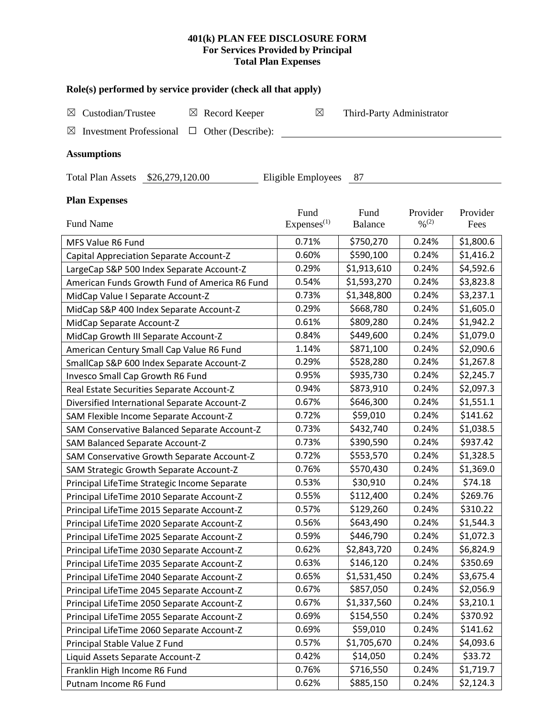# **401(k) PLAN FEE DISCLOSURE FORM For Services Provided by Principal Total Plan Expenses**

| Role(s) performed by service provider (check all that apply)                 |                        |                           |                              |           |  |  |  |
|------------------------------------------------------------------------------|------------------------|---------------------------|------------------------------|-----------|--|--|--|
| Custodian/Trustee<br>$\boxtimes$ Record Keeper<br>$\boxtimes$                | ⊠                      | Third-Party Administrator |                              |           |  |  |  |
| <b>Investment Professional</b><br>Other (Describe):<br>$\boxtimes$<br>$\Box$ |                        |                           |                              |           |  |  |  |
| <b>Assumptions</b>                                                           |                        |                           |                              |           |  |  |  |
| Total Plan Assets \$26,279,120.00                                            | Eligible Employees     | 87                        |                              |           |  |  |  |
| <b>Plan Expenses</b>                                                         | Fund                   | Fund                      | Provider                     | Provider  |  |  |  |
| Fund Name                                                                    | Express <sup>(1)</sup> | <b>Balance</b>            | $\frac{0}{2}$ <sup>(2)</sup> | Fees      |  |  |  |
| MFS Value R6 Fund                                                            | 0.71%                  | \$750,270                 | 0.24%                        | \$1,800.6 |  |  |  |
| Capital Appreciation Separate Account-Z                                      | 0.60%                  | \$590,100                 | 0.24%                        | \$1,416.2 |  |  |  |
| LargeCap S&P 500 Index Separate Account-Z                                    | 0.29%                  | \$1,913,610               | 0.24%                        | \$4,592.6 |  |  |  |
| American Funds Growth Fund of America R6 Fund                                | 0.54%                  | \$1,593,270               | 0.24%                        | \$3,823.8 |  |  |  |
| MidCap Value I Separate Account-Z                                            | 0.73%                  | \$1,348,800               | 0.24%                        | \$3,237.1 |  |  |  |
| MidCap S&P 400 Index Separate Account-Z                                      | 0.29%                  | \$668,780                 | 0.24%                        | \$1,605.0 |  |  |  |
| MidCap Separate Account-Z                                                    | 0.61%                  | \$809,280                 | 0.24%                        | \$1,942.2 |  |  |  |
| MidCap Growth III Separate Account-Z                                         | 0.84%                  | \$449,600                 | 0.24%                        | \$1,079.0 |  |  |  |
| American Century Small Cap Value R6 Fund                                     | 1.14%                  | \$871,100                 | 0.24%                        | \$2,090.6 |  |  |  |
| SmallCap S&P 600 Index Separate Account-Z                                    | 0.29%                  | \$528,280                 | 0.24%                        | \$1,267.8 |  |  |  |
| Invesco Small Cap Growth R6 Fund                                             | 0.95%                  | \$935,730                 | 0.24%                        | \$2,245.7 |  |  |  |
| Real Estate Securities Separate Account-Z                                    | 0.94%                  | \$873,910                 | 0.24%                        | \$2,097.3 |  |  |  |
| Diversified International Separate Account-Z                                 | 0.67%                  | \$646,300                 | 0.24%                        | \$1,551.1 |  |  |  |
| SAM Flexible Income Separate Account-Z                                       | 0.72%                  | \$59,010                  | 0.24%                        | \$141.62  |  |  |  |
| SAM Conservative Balanced Separate Account-Z                                 | 0.73%                  | \$432,740                 | 0.24%                        | \$1,038.5 |  |  |  |
| SAM Balanced Separate Account-Z                                              | 0.73%                  | \$390,590                 | 0.24%                        | \$937.42  |  |  |  |
| SAM Conservative Growth Separate Account-Z                                   | 0.72%                  | \$553,570                 | 0.24%                        | \$1,328.5 |  |  |  |
| SAM Strategic Growth Separate Account-Z                                      | 0.76%                  | \$570,430                 | 0.24%                        | \$1,369.0 |  |  |  |
| Principal LifeTime Strategic Income Separate                                 | 0.53%                  | \$30,910                  | 0.24%                        | \$74.18   |  |  |  |
| Principal LifeTime 2010 Separate Account-Z                                   | 0.55%                  | \$112,400                 | 0.24%                        | \$269.76  |  |  |  |
| Principal LifeTime 2015 Separate Account-Z                                   | 0.57%                  | \$129,260                 | 0.24%                        | \$310.22  |  |  |  |
| Principal LifeTime 2020 Separate Account-Z                                   | 0.56%                  | \$643,490                 | 0.24%                        | \$1,544.3 |  |  |  |
| Principal LifeTime 2025 Separate Account-Z                                   | 0.59%                  | \$446,790                 | 0.24%                        | \$1,072.3 |  |  |  |
| Principal LifeTime 2030 Separate Account-Z                                   | 0.62%                  | \$2,843,720               | 0.24%                        | \$6,824.9 |  |  |  |
| Principal LifeTime 2035 Separate Account-Z                                   | 0.63%                  | \$146,120                 | 0.24%                        | \$350.69  |  |  |  |
| Principal LifeTime 2040 Separate Account-Z                                   | 0.65%                  | \$1,531,450               | 0.24%                        | \$3,675.4 |  |  |  |
| Principal LifeTime 2045 Separate Account-Z                                   | 0.67%                  | \$857,050                 | 0.24%                        | \$2,056.9 |  |  |  |
| Principal LifeTime 2050 Separate Account-Z                                   | 0.67%                  | \$1,337,560               | 0.24%                        | \$3,210.1 |  |  |  |
| Principal LifeTime 2055 Separate Account-Z                                   | 0.69%                  | \$154,550                 | 0.24%                        | \$370.92  |  |  |  |
| Principal LifeTime 2060 Separate Account-Z                                   | 0.69%                  | \$59,010                  | 0.24%                        | \$141.62  |  |  |  |
| Principal Stable Value Z Fund                                                | 0.57%                  | \$1,705,670               | 0.24%                        | \$4,093.6 |  |  |  |
| Liquid Assets Separate Account-Z                                             | 0.42%                  | \$14,050                  | 0.24%                        | \$33.72   |  |  |  |
| Franklin High Income R6 Fund                                                 | 0.76%                  | \$716,550                 | 0.24%                        | \$1,719.7 |  |  |  |

Putnam Income R6 Fund 10.62% \$885,150 0.24% \$2,124.3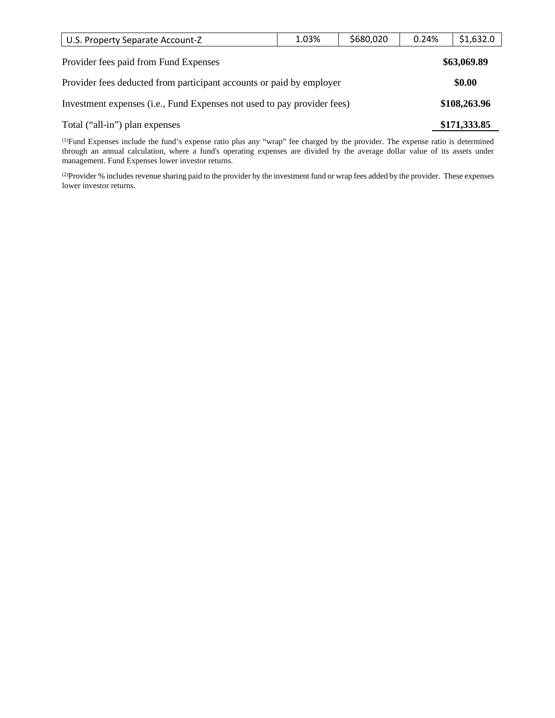| U.S. Property Separate Account-Z                                        | 1.03%  | \$680,020 | 0.24% | \$1,632.0    |  |  |
|-------------------------------------------------------------------------|--------|-----------|-------|--------------|--|--|
| Provider fees paid from Fund Expenses                                   |        |           |       | \$63,069.89  |  |  |
| Provider fees deducted from participant accounts or paid by employer    | \$0.00 |           |       |              |  |  |
| Investment expenses (i.e., Fund Expenses not used to pay provider fees) |        |           |       | \$108,263.96 |  |  |
| Total ("all-in") plan expenses                                          |        |           |       | \$171,333.85 |  |  |

(1) Fund Expenses include the fund's expense ratio plus any "wrap" fee charged by the provider. The expense ratio is determined through an annual calculation, where a fund's operating expenses are divided by the average dollar value of its assets under management. Fund Expenses lower investor returns.

(2) Provider % includes revenue sharing paid to the provider by the investment fund or wrap fees added by the provider. These expenses lower investor returns.